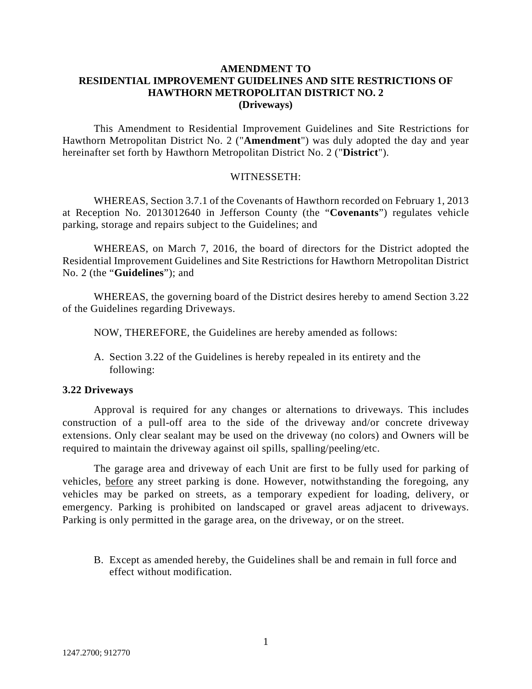## **AMENDMENT TO RESIDENTIAL IMPROVEMENT GUIDELINES AND SITE RESTRICTIONS OF HAWTHORN METROPOLITAN DISTRICT NO. 2 (Driveways)**

This Amendment to Residential Improvement Guidelines and Site Restrictions for Hawthorn Metropolitan District No. 2 ("**Amendment**") was duly adopted the day and year hereinafter set forth by Hawthorn Metropolitan District No. 2 ("**District**").

## WITNESSETH:

WHEREAS, Section 3.7.1 of the Covenants of Hawthorn recorded on February 1, 2013 at Reception No. 2013012640 in Jefferson County (the "**Covenants**") regulates vehicle parking, storage and repairs subject to the Guidelines; and

WHEREAS, on March 7, 2016, the board of directors for the District adopted the Residential Improvement Guidelines and Site Restrictions for Hawthorn Metropolitan District No. 2 (the "**Guidelines**"); and

WHEREAS, the governing board of the District desires hereby to amend Section 3.22 of the Guidelines regarding Driveways.

NOW, THEREFORE, the Guidelines are hereby amended as follows:

A. Section 3.22 of the Guidelines is hereby repealed in its entirety and the following:

## **3.22 Driveways**

Approval is required for any changes or alternations to driveways. This includes construction of a pull-off area to the side of the driveway and/or concrete driveway extensions. Only clear sealant may be used on the driveway (no colors) and Owners will be required to maintain the driveway against oil spills, spalling/peeling/etc.

The garage area and driveway of each Unit are first to be fully used for parking of vehicles, before any street parking is done. However, notwithstanding the foregoing, any vehicles may be parked on streets, as a temporary expedient for loading, delivery, or emergency. Parking is prohibited on landscaped or gravel areas adjacent to driveways. Parking is only permitted in the garage area, on the driveway, or on the street.

B. Except as amended hereby, the Guidelines shall be and remain in full force and effect without modification.